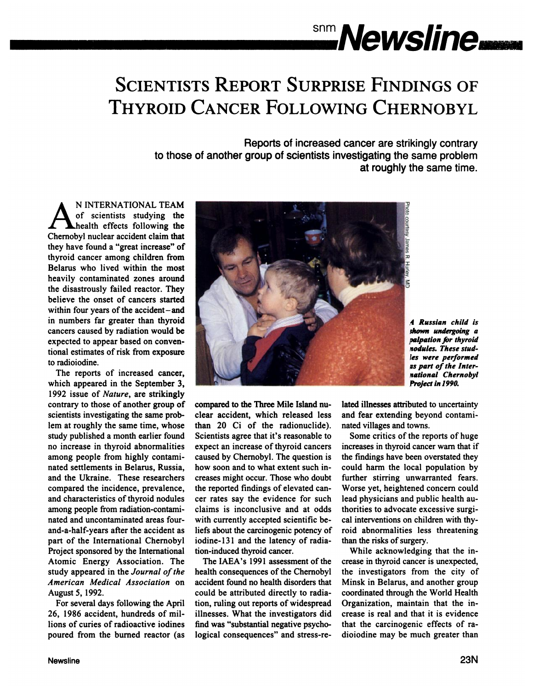# $\mathbb{R}^{\text{sm}}$  *Newsline*

# **SCIENTISTS REPORT SURPRISE FINDINGS OF THYROID CANCER FOLLOWING CHERNOBYL**

Reports of increased cancer are strikingly contrary to those of another group of scientists investigating the same problem at roughly the same time.

A N INTERNATIONAL TEAM **of scientists studying the** health effects following the Chernobyl nuclear accident claim that they have found a "great increase" of thyroid cancer among children from Belarus who lived within the most heavily contaminated zones around the disastrously failed reactor. They believe the onset of cancers started within four years of the accident—and in numbers far greater than thyroid cancers caused by radiation would be expected to appear based on conven tional estimates of risk from exposure to radioiodine.

The reports of increased cancer, which appeared in the September 3, **1992 issueof Nature, are strikingly** contrary to those of another group of scientists investigating the same prob lem at roughly the same time, whose study published a month earlier found no increase in thyroid abnormalities among people from highly contami nated settlements in Belarus, Russia, and the Ukraine. These researchers compared the incidence, prevalence, and characteristics of thyroid nodules among people from radiation-contami nated and uncontaminated areas four and-a-half-years after the accident as part of the International Chernobyl Project sponsored by the International Atomic Energy Association. The study appeared in the Journal of the *American Medical Association on* August 5, 1992.

For several days following the April 26, 1986 accident, hundreds of mil lions of curies of radioactive iodines poured from the burned reactor (as



**I Russian child is** shown undergoing a **palpation** for thyroid **nodules.** These stud-**Cs were performed us part of the Interational Chernobyl** Project in 1990.

compared to the Three Mile Island nu clear accident, which released less than 20 Ciof the radionuclide). Scientists agree that it's reasonable to expect an increase of thyroid cancers caused by Chernobyl. The question is how soon and to what extent such in creases might occur. Those who doubt the reported findings of elevated can cer rates say the evidence for such claims is inconclusive and at odds with currently accepted scientific be liefs about the carcinogenic potency of iodine-131 and the latency of radiation-induced thyroid cancer.

The IAEA's 1991 assessment of the health consequences of the Chernobyl accident found no health disorders that could be attributed directly to radia tion, ruling out reports of widespread illnesses. What the investigators did find was "substantial negative psychological consequences" and stress-related illnesses attributed to uncertainty and fear extending beyond contami nated villages and towns.

Some critics of the reports of huge increases in thyroid cancer warn that if the findings have been overstated they could harm the local population by further stirring unwarranted fears. Worse yet, heightened concern could lead physicians and public health au thorities to advocate excessive surgi cal interventions on children with thy roid abnormalities less threatening than the risks of surgery.

While acknowledging that the in crease in thyroid cancer is unexpected, the investigators from the city of Minsk in Belarus, and another group coordinated through the World Health Organization, maintain that the in crease is real and that it is evidence that the carcinogenic effects of ra dioiodine may be much greater than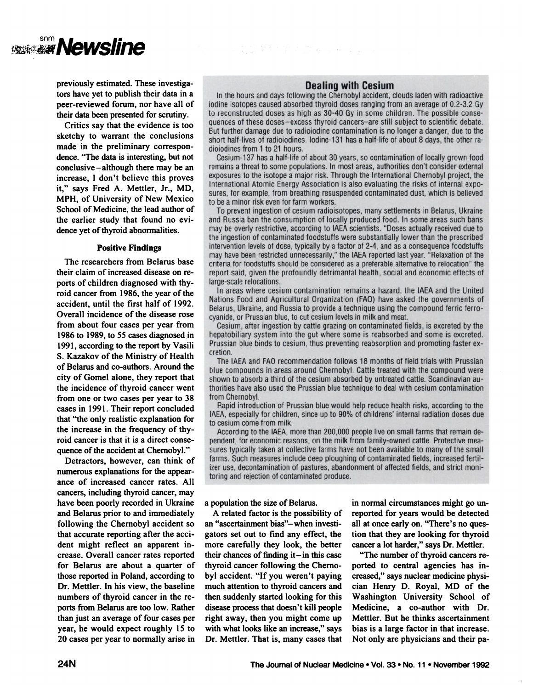

previously estimated. These investiga tors have yet to publish their data in a peer-reviewed forum, nor have all of their data been presented for scrutiny.

Critics say that the evidence is too sketchy to warrant the conclusions made in the preliminary correspon dence. "The data is interesting, but not conclusive  $-$  although there may be an increase, I don't believe this proves it," says Fred A. Mettler, Jr., MD, MPH, of University of New Mexico School of Medicine, the lead author of the earlier study that found no cvi dence yet of thyroid abnormalities.

### Positive Findings

The researchers from Belarus base their claim of increased disease on re ports of children diagnosed with thy roid cancer from 1986, the year of the accident, until the first half of 1992. Overall incidence of the disease rose from about four cases per year from 1986 to 1989, to 55 cases diagnosed in 1991, according to the report by Vasili S. Kazakov of the Ministry of Health of Belarus and co-authors. Around the city of Gomel alone, they report that the incidence of thyroid cancer went from one or two cases per year to 38 cases in 1991. Their report concluded that "the only realistic explanation for the increase in the frequency of thy roid cancer is that it is a direct conse quence of the accident at Chernobyl."

Detractors, however, can think of numerous explanations for the appear ance of increased cancer rates. All cancers, including thyroid cancer, may have been poorly recorded in Ukraine and Belarus prior to and immediately following the Chernobyl accident so that accurate reporting after the acci dent might reflect an apparent in crease. Overall cancer rates reported for Belarus are about a quarter of those reported in Poland, according to Dr. Mettler. In his view, the baseline numbers of thyroid cancer in the re ports from Belarus are too low. Rather than just an average of four cases per year, he would expect roughly 15 to 20 cases per year to normally arise in

# **Dealing with Cesium**

情节: 全文 2014年3月 史

In the hours and days following the Chernobyl accident, clouds laden with radioactive iodine isotopes caused absorbed thyroid doses ranging from an average of 0.2-3.2 Gy to reconstructed doses as high as 30-40 Gy in some children. The possible consequences of these doses-excess thyroid cancers-are still subject to scientific debate. But further damage due to radioiodine contamination is no longer a danger, due to the short half-lives of radioiodines. Iodine-131 has a half-life of about 8 days, the other radioiodines from 1 to 21 hours.

Cesium-137 has a half-life of about 30 years, so contamination of locally grown food remains a threat to some populations. In most areas, authorities don't consider external exposures to the isotope a major risk. Through the International Chernobyl project, the International Atomic Energy Association is also evaluating the risks of internal exposures, for example, from breathing resuspended contaminated dust, which is believed to be a minor risk even for farm workers.

To prevent ingestion of cesium radioisotopes, many settlements in Belarus, Ukraine and Russia ban the consumption of locally produced food. In some areas such bans may be overly restrictive, according to IAEA scientists. "Doses actually received due to the ingestion of contaminated foodstuffs were substantially lower than the prescribed intervention levels of dose, typically by a factor of 2-4, and as a consequence foodstuffs may have been restricted unnecessarily," the IAEA reported last year. "Relaxation of the criteria for foodstuffs should be considered as a preferable alternative to relocation" the report said, given the profoundly detrimantal health, social and economic effects of large-scale relocations.

In areas where cesium contamination remains a hazard, the IAEA and the United Nations Food and Agricultural Organization (FAO) have asked the governments of Belarus, Ukraine, and Russia to provide a technique using the compound ferric ferrocyanide, or Prussian blue, to cut cesium levels in milk and meat.

Cesium, after ingestion by cattle grazing on contaminated fields, is excreted by the hepatobiliary system into the gut where some is reabsorbed and some is excreted. Prussian blue binds to cesium, thus preventing reabsorption and promoting faster excretion.

The IAEA and FAO recommendation follows 18 months of field trials with Prussian blue compounds in areas around Chernobyl. Cattle treated with the compound were shown to absorb a third of the cesium absorbed by untreated cattle. Scandinavian authorities have also used the Prussian blue technique to deal with cesium contamination from Chernobyl.

Rapid introduction of Prussian blue would help reduce health risks, according to the IAEA, especially for children, since up to 90% of childrens' internal radiation doses due to cesium come from milk.

According to the IAEA, more than 200,000 people live on small farms that remain dependent, for economic reasons, on the milk from family-owned cattle. Protective measures typically taken at collective farms have not been available to many of the small farms. Such measures include deep ploughing of contaminated fields, increased fertilizer use, decontamination of pastures, abandonment of affected fields, and strict monitoring and rejection of contaminated produce.

## a population the size of Belarus.

A related factor is the possibility of an "ascertainment bias"-when investigators set out to find any effect, the more carefully they look, the better their chances of finding it—in this case thyroid cancer following the Cherno byl accident. "If you weren't paying much attention to thyroid cancers and then suddenly started looking for this disease process that doesn't kill people right away, then you might come up with what looks like an increase," says Dr. Mettler. That is, many cases that in normal circumstances might go un reported for years would be detected all at once early on. "There's no question that they are looking for thyroid cancer a lot harder," says Dr. Mettler.

"The number of thyroid cancers re ported to central agencies has in creased," says nuclear medicine physician Henry D. Royal, MD of the Washington University School of Medicine, a co-author with Dr. Mettler. But he thinks ascertainment bias is a large factor in that increase. Not only are physicians and their pa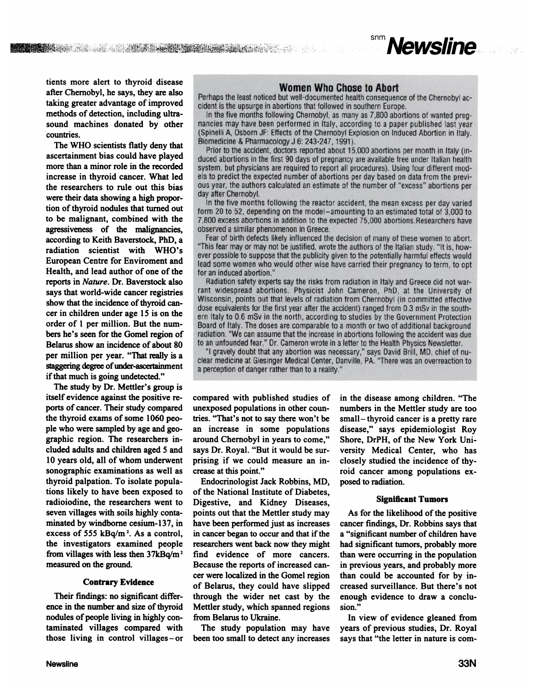

**tients more alert to thyroid disease afterChernobyl,he says, they are also** taking greater advantage of improved methods of detection, including ultra **sound machines donated by other countries.**

**The WHO scientists flatly deny that** ascertainment bias could have played more than a minor role in the recorded **increase in thyroid cancer. What led the researchers to rule out this bias** were their data showing a high propor **tion** of thyroid nodules that turned out **to be malignant, combined with the** agressiveness of the malignancies, **accordingto Keith Baverstock, PhD, a radiation scientist with WHO's European Centre for Enviroment and Health, and lead author of one of the** reports in Nature. Dr. Baverstock also **says that world-wide cancer registries** show that the incidence of thyroid can**cer in children under age 15 is on the order of 1 per million. But the num** bers he's seen for the Gomel region of Belarus show an incidence of about 80 **per million per year. "That reallyis a** staggering degree of under-ascertaimnent if that much is going undetected."

**The study by Dr. Mettler's group is** itself evidence against the positive re ports of cancer. Their study compared **the thyroid exams of some 1060 peo pie who were sampledby age andgeo** graphic region. The researchers in **cluded adults and children aged 5 and 10 years old, all of whom underwent** sonographic examinations as well as thyroid palpation. To isolate popula **tions likely to have been exposed to** radioiodine, the researchers went to **seven villages with soils highly conta** minated by windborne cesium-137, in **excess** of 555 kBq/m<sup>2</sup>. As a control, **the investigators examined people from villages with less then 37kBq/m2** measured on the ground.

## **Confrary Evidence**

Their findings: no significant differ ence in the number and size of thyroid nodules of people living in highly contaminated villages compared with **those living in control villages—or**

# **WomenWhoChosetoAbort**

Perhaps the least noticed but well-documented health consequence of the Chernobyl accident is the upsurge in abortions that followed in southern Europe.

In the five months following Chernobyl, as many as 7,800 abortions of wanted pregnancies may have been performed in Italy, according to a paper published last year (Spinelli A, Osborn JF: Effects of the Chernobyl Explosion on Induced Abortion in Italy. Biomedicine & Pharmacology J 6: 243-247, 1991).

Prior to the accident, doctors reported about 15,000 abortions per month in Italy (induced abortions in the first 90 days of pregnancy are available free under Italian health system, but physicians are required to report all procedures). Using four different models to predict the expected number of abortions per day based on data from the previous year, the authors calculated an estimate of the number of "excess" abortions per day after Chernobyl.

In the five months following the reactor accident, the mean excess per day varied form 20 to 52, depending on the model-amounting to an estimated total of 3,000 to 7,800 excess abortions in addition to the expected 75,000 abortions. Researchers have observed a similar phenomenon in Greece.

Fear of birth defects likely influenced the decision of many of these women to abort. "This fear may or may not be justified, wrote the authors of the Italian study. "It is, however possible to suppose that the publicity given to the potentially harmful effects would lead some women who would other wise have carried their pregnancy to term, to opt for an induced abortion.'

Radiation safety experts say the risks from radiation in Italy and Greece did not warrant widespread abortions. Physicist John Cameron, PhD, at the University of Wisconsin, points out that levels of radiation from Chernobyl (in committed effective dose equivalents for the first year after the accident) ranged from 0.3 mSv in the southern Italy to 0.6 mSv in the north, according to studies by the Government Protection Board of Italy. The doses are comparable to a month or two of additional background radiation. "We can assume that the increase in abortions following the accident was due to an unfounded fear," Dr. Cameron wrote in a letter to the Health Physics Newsletter.

"I gravely doubt that any abortion was necessary," says David Brill, MD, chief of nuclear medicine at Giesinger Medical Center, Danville, PA. "There was an overreaction to a perception of danger rather than to a reality."

**compared with published studies of** unexposed populations in other coun tries. "That's not to say there won't be **an increase in some populations** around Chernobyl in years to come," says Dr. Royal. "But it would be sur prising if we could measure an in crease at this point."

**Endocrinologist Jack Robbins, MD, of the National Institute of Diabetes, Digestive, and Kidney Diseases, points out that the Mettler study may have been performedjust as increases in cancerbegan to occur andthatif the** researchers went back now they might **find evidence of more cancers. Because the reports of increased can** cer were localized in the Gomel region **of Belarus, they could have slipped through the wider net cast by the** Mettler study, which spanned regions from Belarus to Ukraine.

**The study population may have** been too small to detect any increases

in the disease among children. "The **numbers in the Mettler study are too small—thyroid cancer is a pretty rare disease,―says epidemiologist Roy Shore, DrPH, of the New York Uni** versity Medical Center, who has **closely studied the incidence of thy roid cancer among populations cx** posed to radiation.

# Significant Tumors

**As for the likelihood of the positive cancer findings, Dr. Robbins says that a "significant numberof childrenhave had significant tumors,probablymore** than were occurring in the population in previous years, and probably more **than could be accounted for by in creased surveillance. But there's not enough evidence to draw a conclu** sion."

**In view of evidence gleaned from years of previous studies, Dr. Royal says that "theletter in nature is com**